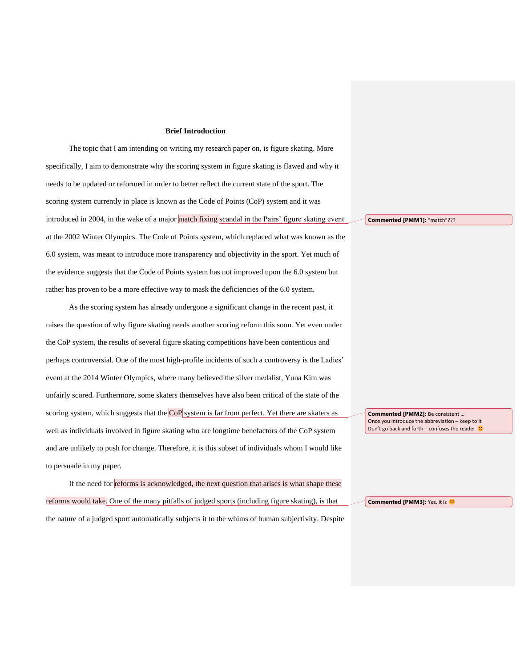#### **Brief Introduction**

The topic that I am intending on writing my research paper on, is figure skating. More specifically, I aim to demonstrate why the scoring system in figure skating is flawed and why it needs to be updated or reformed in order to better reflect the current state of the sport. The scoring system currently in place is known as the Code of Points (CoP) system and it was introduced in 2004, in the wake of a major match fixing scandal in the Pairs' figure skating event at the 2002 Winter Olympics. The Code of Points system, which replaced what was known as the 6.0 system, was meant to introduce more transparency and objectivity in the sport. Yet much of the evidence suggests that the Code of Points system has not improved upon the 6.0 system but rather has proven to be a more effective way to mask the deficiencies of the 6.0 system.

As the scoring system has already undergone a significant change in the recent past, it raises the question of why figure skating needs another scoring reform this soon. Yet even under the CoP system, the results of several figure skating competitions have been contentious and perhaps controversial. One of the most high-profile incidents of such a controversy is the Ladies' event at the 2014 Winter Olympics, where many believed the silver medalist, Yuna Kim was unfairly scored. Furthermore, some skaters themselves have also been critical of the state of the scoring system, which suggests that the CoP system is far from perfect. Yet there are skaters as well as individuals involved in figure skating who are longtime benefactors of the CoP system and are unlikely to push for change. Therefore, it is this subset of individuals whom I would like to persuade in my paper.

If the need for reforms is acknowledged, the next question that arises is what shape these reforms would take. One of the many pitfalls of judged sports (including figure skating), is that the nature of a judged sport automatically subjects it to the whims of human subjectivity. Despite **Commented [PMM1]:** "match"???

**Commented [PMM2]:** Be consistent … Once you introduce the abbreviation – keep to it Don't go back and forth – confuses the reader  $\circledast$ 

**Commented [PMM3]:** Yes, it is  $\bullet$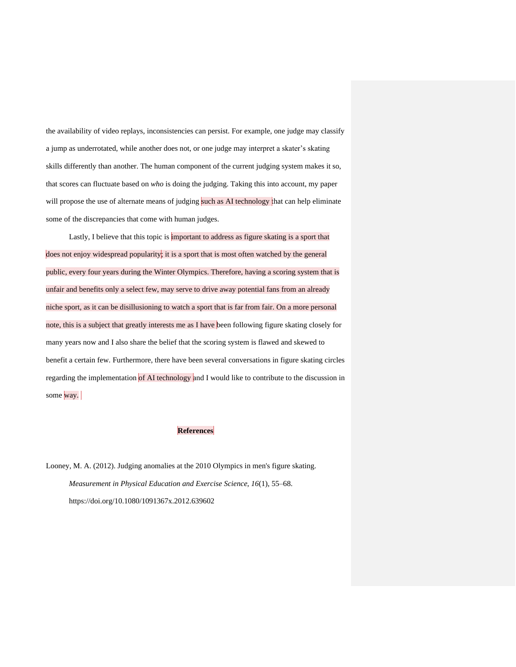the availability of video replays, inconsistencies can persist. For example, one judge may classify a jump as underrotated, while another does not, or one judge may interpret a skater's skating skills differently than another. The human component of the current judging system makes it so, that scores can fluctuate based on *who* is doing the judging. Taking this into account, my paper will propose the use of alternate means of judging such as AI technology that can help eliminate some of the discrepancies that come with human judges.

Lastly, I believe that this topic is important to address as figure skating is a sport that does not enjoy widespread popularity; it is a sport that is most often watched by the general public, every four years during the Winter Olympics. Therefore, having a scoring system that is unfair and benefits only a select few, may serve to drive away potential fans from an already niche sport, as it can be disillusioning to watch a sport that is far from fair. On a more personal note, this is a subject that greatly interests me as I have been following figure skating closely for many years now and I also share the belief that the scoring system is flawed and skewed to benefit a certain few. Furthermore, there have been several conversations in figure skating circles regarding the implementation of AI technology and I would like to contribute to the discussion in some way.

# **References**

Looney, M. A. (2012). Judging anomalies at the 2010 Olympics in men's figure skating. *Measurement in Physical Education and Exercise Science*, *16*(1), 55–68. https://doi.org/10.1080/1091367x.2012.639602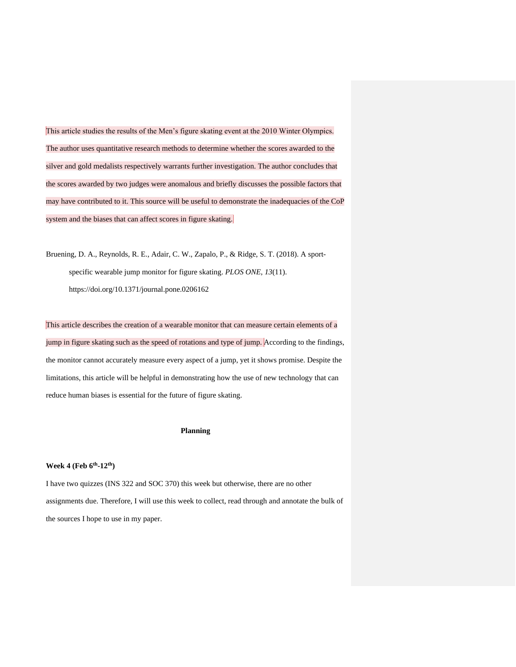This article studies the results of the Men's figure skating event at the 2010 Winter Olympics. The author uses quantitative research methods to determine whether the scores awarded to the silver and gold medalists respectively warrants further investigation. The author concludes that the scores awarded by two judges were anomalous and briefly discusses the possible factors that may have contributed to it. This source will be useful to demonstrate the inadequacies of the CoP system and the biases that can affect scores in figure skating.

Bruening, D. A., Reynolds, R. E., Adair, C. W., Zapalo, P., & Ridge, S. T. (2018). A sportspecific wearable jump monitor for figure skating. *PLOS ONE*, *13*(11). https://doi.org/10.1371/journal.pone.0206162

This article describes the creation of a wearable monitor that can measure certain elements of a jump in figure skating such as the speed of rotations and type of jump. According to the findings, the monitor cannot accurately measure every aspect of a jump, yet it shows promise. Despite the limitations, this article will be helpful in demonstrating how the use of new technology that can reduce human biases is essential for the future of figure skating.

### **Planning**

#### **Week 4 (Feb 6th -12th)**

I have two quizzes (INS 322 and SOC 370) this week but otherwise, there are no other assignments due. Therefore, I will use this week to collect, read through and annotate the bulk of the sources I hope to use in my paper.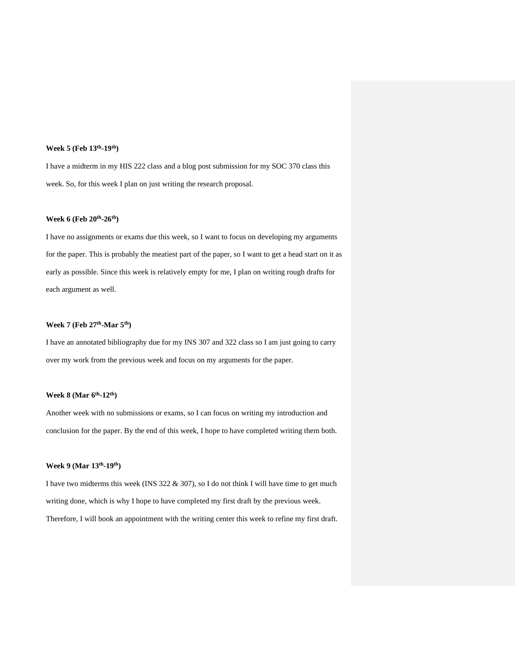#### **Week 5 (Feb 13th -19th)**

I have a midterm in my HIS 222 class and a blog post submission for my SOC 370 class this week. So, for this week I plan on just writing the research proposal.

#### **Week 6 (Feb 20th -26th)**

I have no assignments or exams due this week, so I want to focus on developing my arguments for the paper. This is probably the meatiest part of the paper, so I want to get a head start on it as early as possible. Since this week is relatively empty for me, I plan on writing rough drafts for each argument as well.

#### **Week 7 (Feb 27th -Mar 5th)**

I have an annotated bibliography due for my INS 307 and 322 class so I am just going to carry over my work from the previous week and focus on my arguments for the paper.

#### **Week 8 (Mar 6th -12th)**

Another week with no submissions or exams, so I can focus on writing my introduction and conclusion for the paper. By the end of this week, I hope to have completed writing them both.

#### **Week 9 (Mar 13th -19th)**

I have two midterms this week (INS 322 & 307), so I do not think I will have time to get much writing done, which is why I hope to have completed my first draft by the previous week. Therefore, I will book an appointment with the writing center this week to refine my first draft.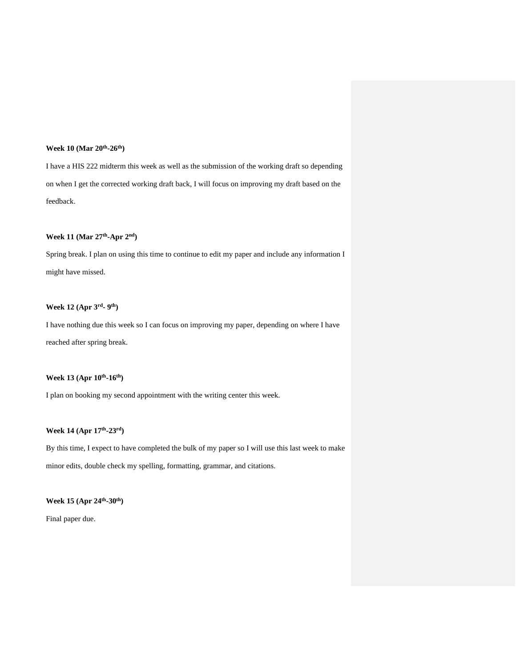#### **Week 10 (Mar 20th -26th)**

I have a HIS 222 midterm this week as well as the submission of the working draft so depending on when I get the corrected working draft back, I will focus on improving my draft based on the feedback.

### **Week 11 (Mar 27th -Apr 2nd)**

Spring break. I plan on using this time to continue to edit my paper and include any information I might have missed.

#### **Week 12 (Apr 3rd - 9 th)**

I have nothing due this week so I can focus on improving my paper, depending on where I have reached after spring break.

#### **Week 13 (Apr 10th -16th)**

I plan on booking my second appointment with the writing center this week.

#### **Week 14 (Apr 17th -23rd)**

By this time, I expect to have completed the bulk of my paper so I will use this last week to make minor edits, double check my spelling, formatting, grammar, and citations.

#### **Week 15 (Apr 24th -30th)**

Final paper due.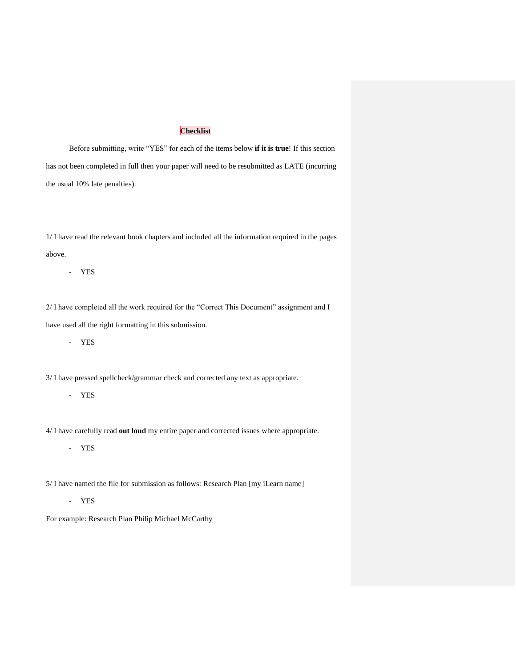## **Checklist**

Before submitting, write "YES" for each of the items below **if it is true**! If this section has not been completed in full then your paper will need to be resubmitted as LATE (incurring the usual 10% late penalties).

1/ I have read the relevant book chapters and included all the information required in the pages above.

- YES

2/ I have completed all the work required for the "Correct This Document" assignment and I have used all the right formatting in this submission.

- YES

3/ I have pressed spellcheck/grammar check and corrected any text as appropriate.

## - YES

4/ I have carefully read **out loud** my entire paper and corrected issues where appropriate.

- YES

5/ I have named the file for submission as follows: Research Plan [my iLearn name]

- YES

For example: Research Plan Philip Michael McCarthy